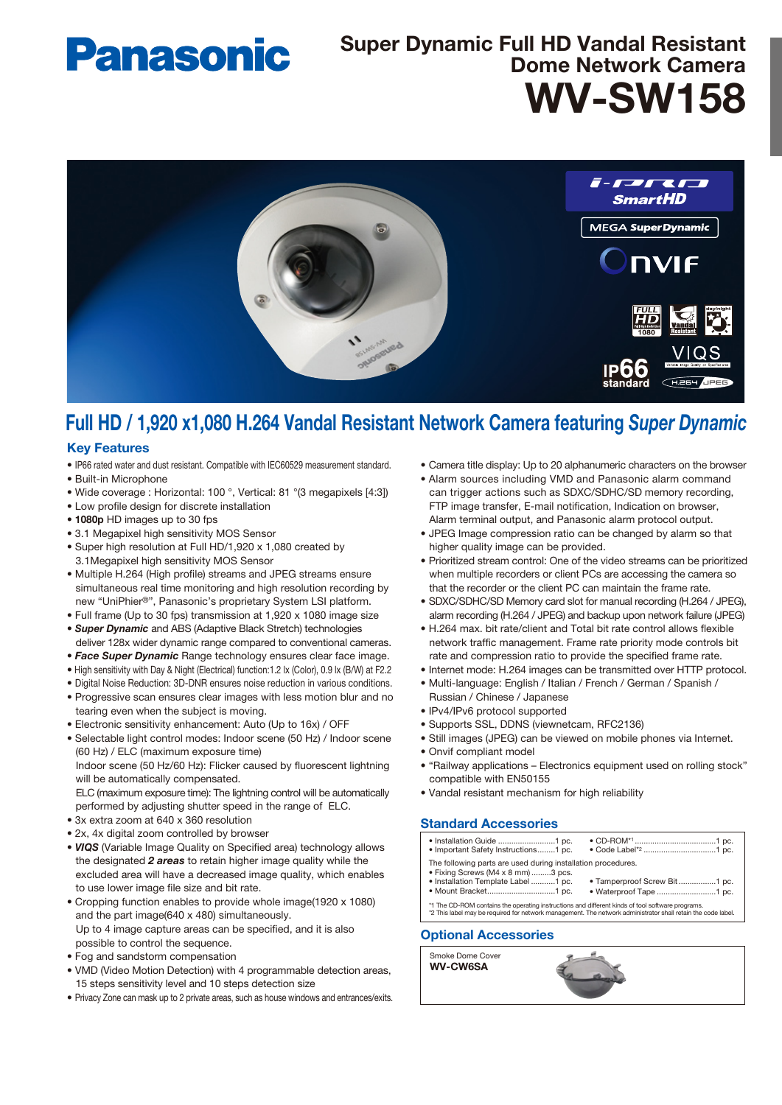# **Panasonic**

## WV-SW158 Super Dynamic Full HD Vandal Resistant Dome Network Camera



## Full HD / 1,920 x1,080 H.264 Vandal Resistant Network Camera featuring *Super Dynamic*

#### Key Features

- IP66 rated water and dust resistant. Compatible with IEC60529 measurement standard.
- Built-in Microphone
- Wide coverage : Horizontal: 100 °, Vertical: 81 °(3 megapixels [4:3])
- Low profile design for discrete installation
- 1080p HD images up to 30 fps
- 3.1 Megapixel high sensitivity MOS Sensor
- Super high resolution at Full HD/1,920 x 1,080 created by 3.1Megapixel high sensitivity MOS Sensor
- Multiple H.264 (High profile) streams and JPEG streams ensure simultaneous real time monitoring and high resolution recording by new "UniPhier®", Panasonic's proprietary System LSI platform.
- Full frame (Up to 30 fps) transmission at 1,920 x 1080 image size
- *Super Dynamic* and ABS (Adaptive Black Stretch) technologies deliver 128x wider dynamic range compared to conventional cameras.
- *Face Super Dynamic* Range technology ensures clear face image.
- High sensitivity with Day & Night (Electrical) function:1.2 lx (Color), 0.9 lx (B/W) at F2.2
- Digital Noise Reduction: 3D-DNR ensures noise reduction in various conditions.
- Progressive scan ensures clear images with less motion blur and no tearing even when the subject is moving.
- Electronic sensitivity enhancement: Auto (Up to 16x) / OFF
- Selectable light control modes: Indoor scene (50 Hz) / Indoor scene (60 Hz) / ELC (maximum exposure time) Indoor scene (50 Hz/60 Hz): Flicker caused by fluorescent lightning

will be automatically compensated. ELC (maximum exposure time): The lightning control will be automatically

performed by adjusting shutter speed in the range of ELC.

- 3x extra zoom at 640 x 360 resolution
- 2x, 4x digital zoom controlled by browser
- • *VIQS* (Variable Image Quality on Specified area) technology allows the designated *2 areas* to retain higher image quality while the excluded area will have a decreased image quality, which enables to use lower image file size and bit rate.
- Cropping function enables to provide whole image(1920 x 1080) and the part image(640 x 480) simultaneously. Up to 4 image capture areas can be specified, and it is also possible to control the sequence.
- Fog and sandstorm compensation
- VMD (Video Motion Detection) with 4 programmable detection areas, 15 steps sensitivity level and 10 steps detection size
- Privacy Zone can mask up to 2 private areas, such as house windows and entrances/exits.
- Camera title display: Up to 20 alphanumeric characters on the browser
- Alarm sources including VMD and Panasonic alarm command can trigger actions such as SDXC/SDHC/SD memory recording, FTP image transfer, E-mail notification, Indication on browser, Alarm terminal output, and Panasonic alarm protocol output.
- JPEG Image compression ratio can be changed by alarm so that higher quality image can be provided.
- Prioritized stream control: One of the video streams can be prioritized when multiple recorders or client PCs are accessing the camera so that the recorder or the client PC can maintain the frame rate.
- SDXC/SDHC/SD Memory card slot for manual recording (H.264 / JPEG), alarm recording (H.264 / JPEG) and backup upon network failure (JPEG)
- H.264 max. bit rate/client and Total bit rate control allows flexible network traffic management. Frame rate priority mode controls bit rate and compression ratio to provide the specified frame rate.
- Internet mode: H.264 images can be transmitted over HTTP protocol.
- Multi-language: English / Italian / French / German / Spanish / Russian / Chinese / Japanese
- IPv4/IPv6 protocol supported
- Supports SSL, DDNS (viewnetcam, RFC2136)
- Still images (JPEG) can be viewed on mobile phones via Internet.
- Onvif compliant model
- "Railway applications Electronics equipment used on rolling stock" compatible with EN50155
- Vandal resistant mechanism for high reliability

### Standard Accessories

| • Important Safety Instructions1 pc.                                                                                                      |                                                                                                              |
|-------------------------------------------------------------------------------------------------------------------------------------------|--------------------------------------------------------------------------------------------------------------|
| The following parts are used during installation procedures.<br>. Fixing Screws (M4 x 8 mm) 3 pcs.<br>· Installation Template Label 1 pc. | • Tamperproof Screw Bit1 pc.                                                                                 |
| *1 The CD-ROM contains the operating instructions and different kinds of tool software programs.                                          | *2 This label may be required for network management. The network administrator shall retain the code label. |
|                                                                                                                                           |                                                                                                              |

#### Optional Accessories

Smoke Dome Cover WV-CW6SA